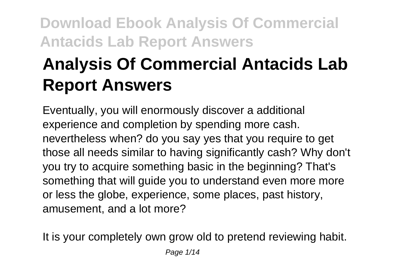# **Analysis Of Commercial Antacids Lab Report Answers**

Eventually, you will enormously discover a additional experience and completion by spending more cash. nevertheless when? do you say yes that you require to get those all needs similar to having significantly cash? Why don't you try to acquire something basic in the beginning? That's something that will guide you to understand even more more or less the globe, experience, some places, past history, amusement, and a lot more?

It is your completely own grow old to pretend reviewing habit.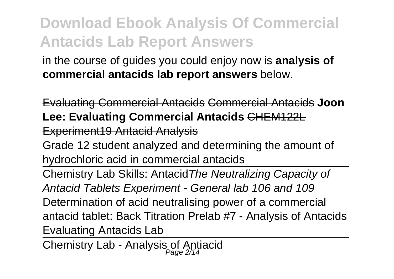in the course of guides you could enjoy now is **analysis of commercial antacids lab report answers** below.

Evaluating Commercial Antacids Commercial Antacids **Joon Lee: Evaluating Commercial Antacids** CHEM122L Experiment19 Antacid Analysis

Grade 12 student analyzed and determining the amount of hydrochloric acid in commercial antacids

Chemistry Lab Skills: AntacidThe Neutralizing Capacity of Antacid Tablets Experiment - General lab 106 and 109 Determination of acid neutralising power of a commercial antacid tablet: Back Titration Prelab #7 - Analysis of Antacids Evaluating Antacids Lab

Chemistry Lab - Analysis of Antiacid Page 2/14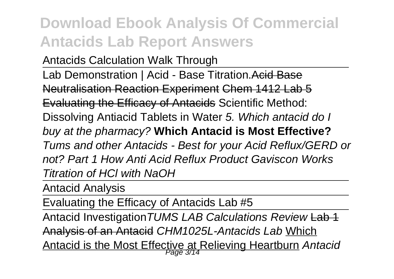Antacids Calculation Walk Through

Lab Demonstration | Acid - Base Titration. Acid Base Neutralisation Reaction Experiment Chem 1412 Lab 5 Evaluating the Efficacy of Antacids Scientific Method: Dissolving Antiacid Tablets in Water 5. Which antacid do I buy at the pharmacy? **Which Antacid is Most Effective?** Tums and other Antacids - Best for your Acid Reflux/GERD or not? Part 1 How Anti Acid Reflux Product Gaviscon Works Titration of HCl with NaOH

Antacid Analysis

Evaluating the Efficacy of Antacids Lab #5

Antacid Investigation TUMS LAB Calculations Review Lab 1 Analysis of an Antacid CHM1025L-Antacids Lab Which Antacid is the Most Effective at Relieving Heartburn *Antacio*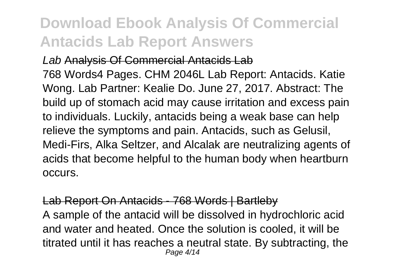Lab Analysis Of Commercial Antacids Lab 768 Words4 Pages. CHM 2046L Lab Report: Antacids. Katie Wong. Lab Partner: Kealie Do. June 27, 2017. Abstract: The build up of stomach acid may cause irritation and excess pain to individuals. Luckily, antacids being a weak base can help relieve the symptoms and pain. Antacids, such as Gelusil, Medi-Firs, Alka Seltzer, and Alcalak are neutralizing agents of acids that become helpful to the human body when heartburn occurs.

#### Lab Report On Antacids - 768 Words | Bartleby

A sample of the antacid will be dissolved in hydrochloric acid and water and heated. Once the solution is cooled, it will be titrated until it has reaches a neutral state. By subtracting, the Page 4/14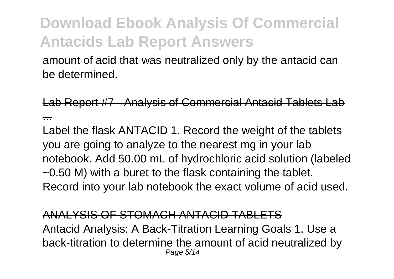amount of acid that was neutralized only by the antacid can be determined.

Lab Report #7 - Analysis of Commercial Antacid Tablets Lab ...

Label the flask ANTACID 1. Record the weight of the tablets you are going to analyze to the nearest mg in your lab notebook. Add 50.00 mL of hydrochloric acid solution (labeled ~0.50 M) with a buret to the flask containing the tablet. Record into your lab notebook the exact volume of acid used.

#### ANALYSIS OF STOMACH ANTACID TABLETS

Antacid Analysis: A Back-Titration Learning Goals 1. Use a back-titration to determine the amount of acid neutralized by Page 5/14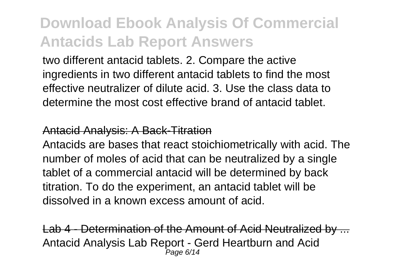two different antacid tablets. 2. Compare the active ingredients in two different antacid tablets to find the most effective neutralizer of dilute acid. 3. Use the class data to determine the most cost effective brand of antacid tablet.

#### Antacid Analysis: A Back-Titration

Antacids are bases that react stoichiometrically with acid. The number of moles of acid that can be neutralized by a single tablet of a commercial antacid will be determined by back titration. To do the experiment, an antacid tablet will be dissolved in a known excess amount of acid.

Lab 4 - Determination of the Amount of Acid Neutralized by Antacid Analysis Lab Report - Gerd Heartburn and Acid Page 6/14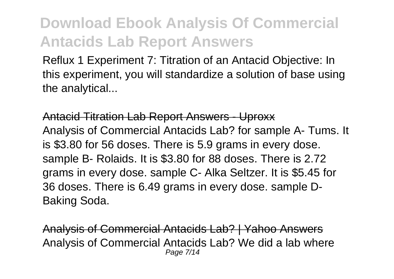Reflux 1 Experiment 7: Titration of an Antacid Objective: In this experiment, you will standardize a solution of base using the analytical...

Antacid Titration Lab Report Answers - Uproxx Analysis of Commercial Antacids Lab? for sample A- Tums. It is \$3.80 for 56 doses. There is 5.9 grams in every dose. sample B- Rolaids. It is \$3.80 for 88 doses. There is 2.72 grams in every dose. sample C- Alka Seltzer. It is \$5.45 for 36 doses. There is 6.49 grams in every dose. sample D-Baking Soda.

Analysis of Commercial Antacids Lab? | Yahoo Answers Analysis of Commercial Antacids Lab? We did a lab where Page 7/14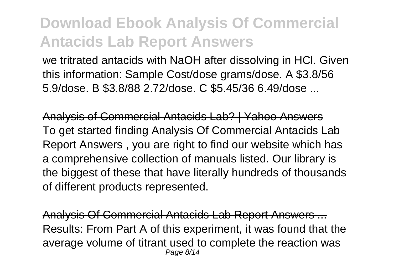we tritrated antacids with NaOH after dissolving in HCl. Given this information: Sample Cost/dose grams/dose. A \$3.8/56 5.9/dose. B \$3.8/88 2.72/dose. C \$5.45/36 6.49/dose ...

Analysis of Commercial Antacids Lab? | Yahoo Answers To get started finding Analysis Of Commercial Antacids Lab Report Answers , you are right to find our website which has a comprehensive collection of manuals listed. Our library is the biggest of these that have literally hundreds of thousands of different products represented.

Analysis Of Commercial Antacids Lab Report Answers ... Results: From Part A of this experiment, it was found that the average volume of titrant used to complete the reaction was Page 8/14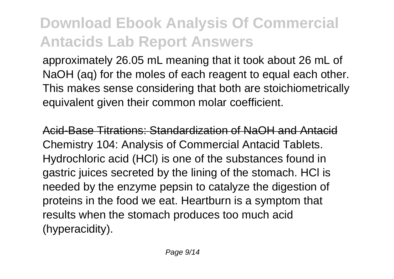approximately 26.05 mL meaning that it took about 26 mL of NaOH (ag) for the moles of each reagent to equal each other. This makes sense considering that both are stoichiometrically equivalent given their common molar coefficient.

Acid-Base Titrations: Standardization of NaOH and Antacid Chemistry 104: Analysis of Commercial Antacid Tablets. Hydrochloric acid (HCl) is one of the substances found in gastric juices secreted by the lining of the stomach. HCl is needed by the enzyme pepsin to catalyze the digestion of proteins in the food we eat. Heartburn is a symptom that results when the stomach produces too much acid (hyperacidity).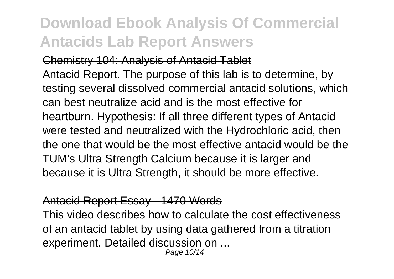#### Chemistry 104: Analysis of Antacid Tablet

Antacid Report. The purpose of this lab is to determine, by testing several dissolved commercial antacid solutions, which can best neutralize acid and is the most effective for heartburn. Hypothesis: If all three different types of Antacid were tested and neutralized with the Hydrochloric acid, then the one that would be the most effective antacid would be the TUM's Ultra Strength Calcium because it is larger and because it is Ultra Strength, it should be more effective.

#### Antacid Report Essay - 1470 Words

This video describes how to calculate the cost effectiveness of an antacid tablet by using data gathered from a titration experiment. Detailed discussion on ...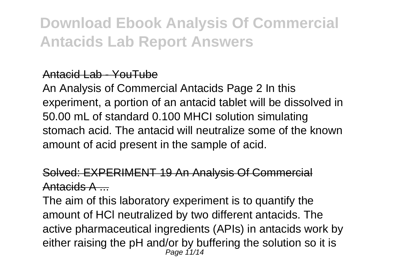### Antacid Lab - YouTube

An Analysis of Commercial Antacids Page 2 In this experiment, a portion of an antacid tablet will be dissolved in 50.00 mL of standard 0.100 MHCI solution simulating stomach acid. The antacid will neutralize some of the known amount of acid present in the sample of acid.

### Solved: EXPERIMENT 19 An Analysis Of Commercial Antacids A ...

The aim of this laboratory experiment is to quantify the amount of HCl neutralized by two different antacids. The active pharmaceutical ingredients (APIs) in antacids work by either raising the pH and/or by buffering the solution so it is Page 11/14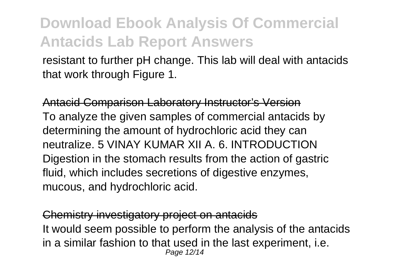resistant to further pH change. This lab will deal with antacids that work through Figure 1.

Antacid Comparison Laboratory Instructor's Version To analyze the given samples of commercial antacids by determining the amount of hydrochloric acid they can neutralize. 5 VINAY KUMAR XII A. 6. INTRODUCTION Digestion in the stomach results from the action of gastric fluid, which includes secretions of digestive enzymes, mucous, and hydrochloric acid.

Chemistry investigatory project on antacids It would seem possible to perform the analysis of the antacids in a similar fashion to that used in the last experiment, i.e. Page 12/14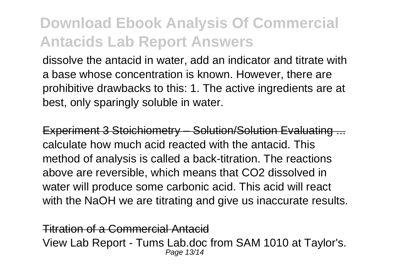dissolve the antacid in water, add an indicator and titrate with a base whose concentration is known. However, there are prohibitive drawbacks to this: 1. The active ingredients are at best, only sparingly soluble in water.

Experiment 3 Stoichiometry – Solution/Solution Evaluating calculate how much acid reacted with the antacid. This method of analysis is called a back-titration. The reactions above are reversible, which means that CO2 dissolved in water will produce some carbonic acid. This acid will react with the NaOH we are titrating and give us inaccurate results.

Titration of a Commercial Antacid View Lab Report - Tums Lab.doc from SAM 1010 at Taylor's. Page 13/14